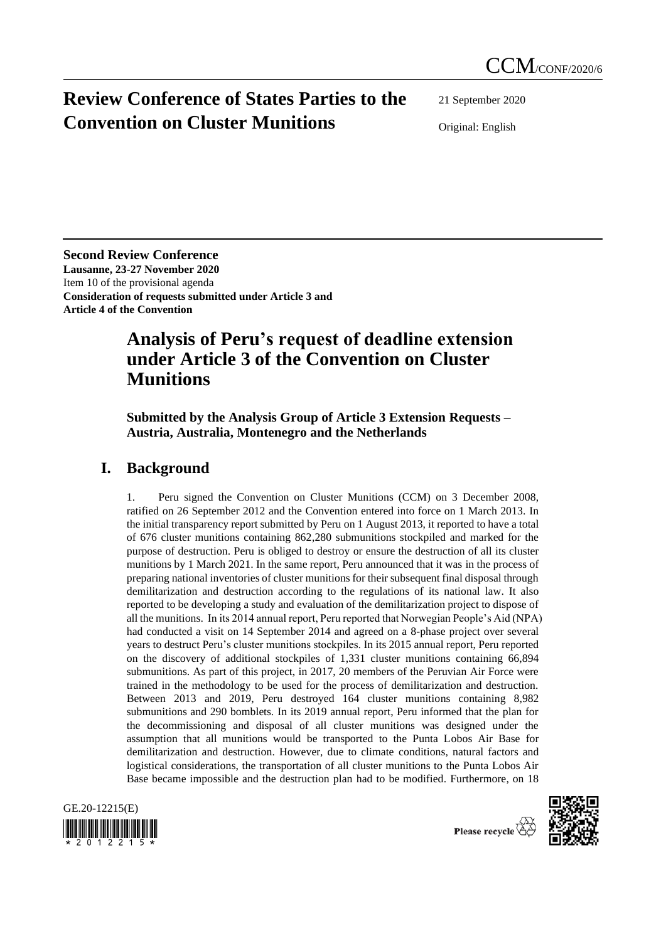# **Review Conference of States Parties to the Convention on Cluster Munitions**

21 September 2020

Original: English

**Second Review Conference Lausanne, 23-27 November 2020** Item 10 of the provisional agenda **Consideration of requests submitted under Article 3 and Article 4 of the Convention**

## **Analysis of Peru's request of deadline extension under Article 3 of the Convention on Cluster Munitions**

**Submitted by the Analysis Group of Article 3 Extension Requests – Austria, Australia, Montenegro and the Netherlands**

### **I. Background**

1. Peru signed the Convention on Cluster Munitions (CCM) on 3 December 2008, ratified on 26 September 2012 and the Convention entered into force on 1 March 2013. In the initial transparency report submitted by Peru on 1 August 2013, it reported to have a total of 676 cluster munitions containing 862,280 submunitions stockpiled and marked for the purpose of destruction. Peru is obliged to destroy or ensure the destruction of all its cluster munitions by 1 March 2021. In the same report, Peru announced that it was in the process of preparing national inventories of cluster munitions for their subsequent final disposal through demilitarization and destruction according to the regulations of its national law. It also reported to be developing a study and evaluation of the demilitarization project to dispose of all the munitions. In its 2014 annual report, Peru reported that Norwegian People's Aid (NPA) had conducted a visit on 14 September 2014 and agreed on a 8-phase project over several years to destruct Peru's cluster munitions stockpiles. In its 2015 annual report, Peru reported on the discovery of additional stockpiles of 1,331 cluster munitions containing 66,894 submunitions. As part of this project, in 2017, 20 members of the Peruvian Air Force were trained in the methodology to be used for the process of demilitarization and destruction. Between 2013 and 2019, Peru destroyed 164 cluster munitions containing 8,982 submunitions and 290 bomblets. In its 2019 annual report, Peru informed that the plan for the decommissioning and disposal of all cluster munitions was designed under the assumption that all munitions would be transported to the Punta Lobos Air Base for demilitarization and destruction. However, due to climate conditions, natural factors and logistical considerations, the transportation of all cluster munitions to the Punta Lobos Air Base became impossible and the destruction plan had to be modified. Furthermore, on 18





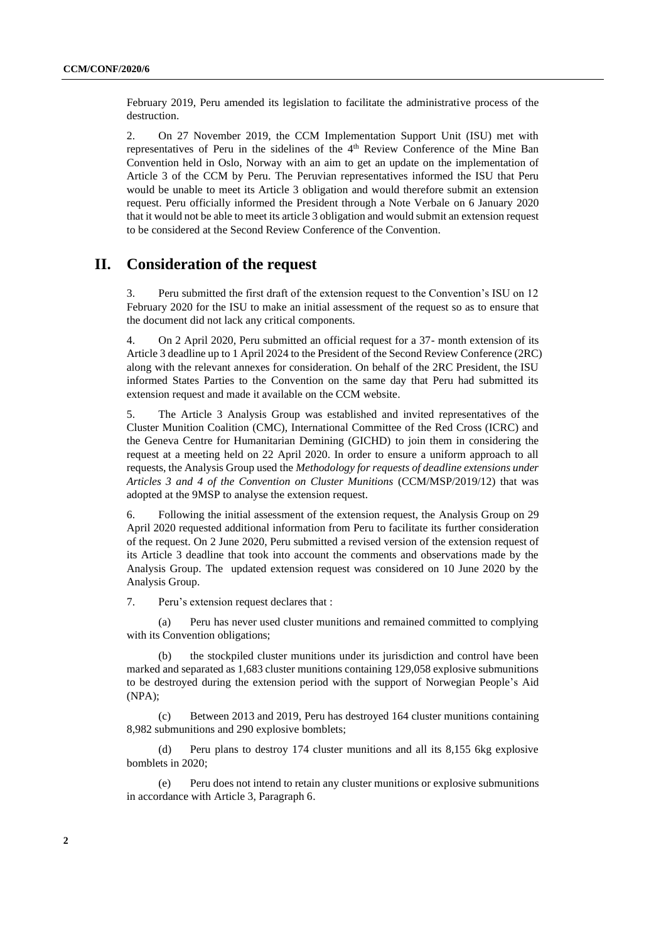February 2019, Peru amended its legislation to facilitate the administrative process of the destruction.

2. On 27 November 2019, the CCM Implementation Support Unit (ISU) met with representatives of Peru in the sidelines of the 4<sup>th</sup> Review Conference of the Mine Ban Convention held in Oslo, Norway with an aim to get an update on the implementation of Article 3 of the CCM by Peru. The Peruvian representatives informed the ISU that Peru would be unable to meet its Article 3 obligation and would therefore submit an extension request. Peru officially informed the President through a Note Verbale on 6 January 2020 that it would not be able to meet its article 3 obligation and would submit an extension request to be considered at the Second Review Conference of the Convention.

### **II. Consideration of the request**

3. Peru submitted the first draft of the extension request to the Convention's ISU on 12 February 2020 for the ISU to make an initial assessment of the request so as to ensure that the document did not lack any critical components.

4. On 2 April 2020, Peru submitted an official request for a 37- month extension of its Article 3 deadline up to 1 April 2024 to the President of the Second Review Conference (2RC) along with the relevant annexes for consideration. On behalf of the 2RC President, the ISU informed States Parties to the Convention on the same day that Peru had submitted its extension request and made it available on the CCM website.

5. The Article 3 Analysis Group was established and invited representatives of the Cluster Munition Coalition (CMC), International Committee of the Red Cross (ICRC) and the Geneva Centre for Humanitarian Demining (GICHD) to join them in considering the request at a meeting held on 22 April 2020. In order to ensure a uniform approach to all requests, the Analysis Group used the *Methodology for requests of deadline extensions under Articles 3 and 4 of the Convention on Cluster Munitions* (CCM/MSP/2019/12) that was adopted at the 9MSP to analyse the extension request.

6. Following the initial assessment of the extension request, the Analysis Group on 29 April 2020 requested additional information from Peru to facilitate its further consideration of the request. On 2 June 2020, Peru submitted a revised version of the extension request of its Article 3 deadline that took into account the comments and observations made by the Analysis Group. The updated extension request was considered on 10 June 2020 by the Analysis Group.

7. Peru's extension request declares that :

(a) Peru has never used cluster munitions and remained committed to complying with its Convention obligations;

(b) the stockpiled cluster munitions under its jurisdiction and control have been marked and separated as 1,683 cluster munitions containing 129,058 explosive submunitions to be destroyed during the extension period with the support of Norwegian People's Aid (NPA);

(c) Between 2013 and 2019, Peru has destroyed 164 cluster munitions containing 8,982 submunitions and 290 explosive bomblets;

(d) Peru plans to destroy 174 cluster munitions and all its 8,155 6kg explosive bomblets in 2020;

(e) Peru does not intend to retain any cluster munitions or explosive submunitions in accordance with Article 3, Paragraph 6.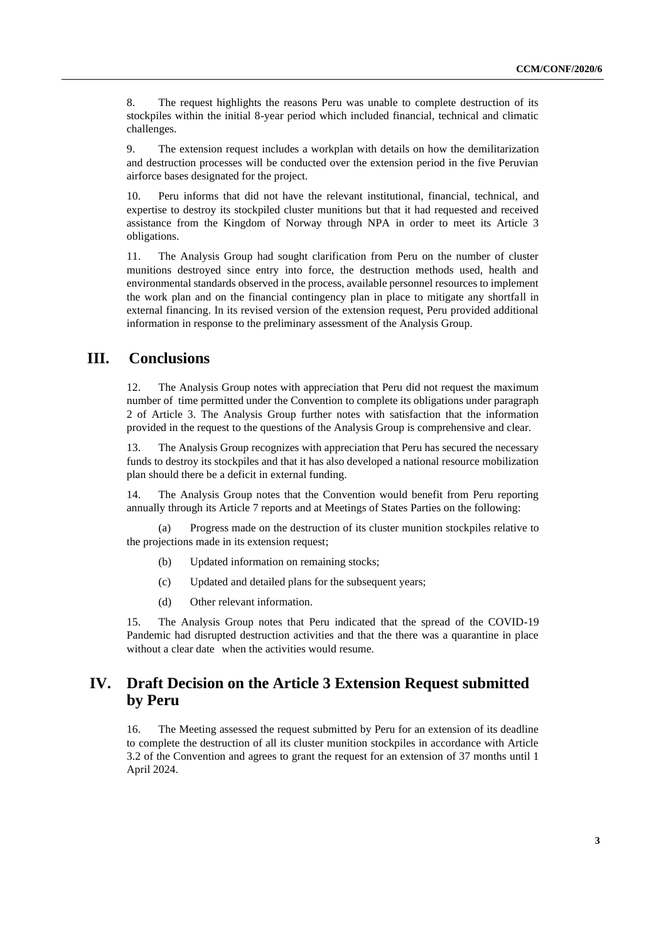8. The request highlights the reasons Peru was unable to complete destruction of its stockpiles within the initial 8-year period which included financial, technical and climatic challenges.

9. The extension request includes a workplan with details on how the demilitarization and destruction processes will be conducted over the extension period in the five Peruvian airforce bases designated for the project.

10. Peru informs that did not have the relevant institutional, financial, technical, and expertise to destroy its stockpiled cluster munitions but that it had requested and received assistance from the Kingdom of Norway through NPA in order to meet its Article 3 obligations.

11. The Analysis Group had sought clarification from Peru on the number of cluster munitions destroyed since entry into force, the destruction methods used, health and environmental standards observed in the process, available personnel resources to implement the work plan and on the financial contingency plan in place to mitigate any shortfall in external financing. In its revised version of the extension request, Peru provided additional information in response to the preliminary assessment of the Analysis Group.

#### **III. Conclusions**

12. The Analysis Group notes with appreciation that Peru did not request the maximum number of time permitted under the Convention to complete its obligations under paragraph 2 of Article 3. The Analysis Group further notes with satisfaction that the information provided in the request to the questions of the Analysis Group is comprehensive and clear.

13. The Analysis Group recognizes with appreciation that Peru has secured the necessary funds to destroy its stockpiles and that it has also developed a national resource mobilization plan should there be a deficit in external funding.

14. The Analysis Group notes that the Convention would benefit from Peru reporting annually through its Article 7 reports and at Meetings of States Parties on the following:

(a) Progress made on the destruction of its cluster munition stockpiles relative to the projections made in its extension request;

- (b) Updated information on remaining stocks;
- (c) Updated and detailed plans for the subsequent years;
- (d) Other relevant information.

15. The Analysis Group notes that Peru indicated that the spread of the COVID-19 Pandemic had disrupted destruction activities and that the there was a quarantine in place without a clear date when the activities would resume.

#### **IV. Draft Decision on the Article 3 Extension Request submitted by Peru**

16. The Meeting assessed the request submitted by Peru for an extension of its deadline to complete the destruction of all its cluster munition stockpiles in accordance with Article 3.2 of the Convention and agrees to grant the request for an extension of 37 months until 1 April 2024.